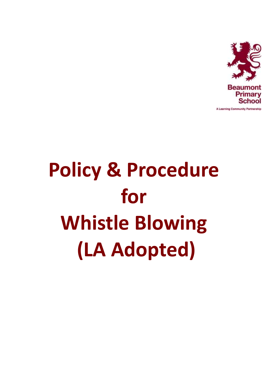

# **Policy & Procedure for Whistle Blowing (LA Adopted)**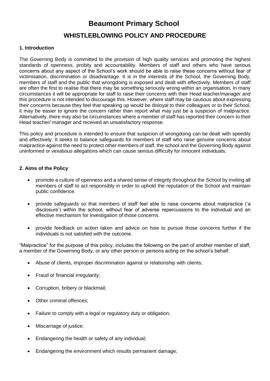## **Beaumont Primary School**

### **WHISTLEBLOWING POLICY AND PROCEDURE**

#### **1. Introduction**

The Governing Body is committed to the provision of high quality services and promoting the highest standards of openness, probity and accountability. Members of staff and others who have serious concerns about any aspect of the School's work should be able to raise these concerns without fear of victimisation, discrimination or disadvantage. It is in the interests of the School, the Governing Body, members of staff and the public that wrongdoing is exposed and dealt with effectively. Members of staff are often the first to realise that there may be something seriously wrong within an organisation. In many circumstances it will be appropriate for staff to raise their concerns with their Head teacher/manager and this procedure is not intended to discourage this. However, where staff may be cautious about expressing their concerns because they feel that speaking up would be disloyal to their colleagues or to their School, it may be easier to ignore the concern rather than report what may just be a suspicion of malpractice. Alternatively, there may also be circumstances where a member of staff has reported their concern to their Head teacher/ manager and received an unsatisfactory response.

This policy and procedure is intended to ensure that suspicion of wrongdoing can be dealt with speedily and effectively. It seeks to balance safeguards for members of staff who raise genuine concerns about malpractice against the need to protect other members of staff, the school and the Governing Body against uninformed or vexatious allegations which can cause serious difficulty for innocent individuals.

#### **2. Aims of the Policy**

- promote a culture of openness and a shared sense of integrity throughout the School by inviting all members of staff to act responsibly in order to uphold the reputation of the School and maintain public confidence.
- provide safeguards so that members of staff feel able to raise concerns about malpractice ('a disclosure') within the school, without fear of adverse repercussions to the individual and an effective mechanism for investigation of those concerns.
- provide feedback on action taken and advice on how to pursue those concerns further if the individuals is not satisfied with the outcome.

"Malpractice" for the purpose of this policy, includes the following on the part of another member of staff, a member of the Governing Body, or any other person or persons acting on the school's behalf:

- Abuse of clients, improper discrimination against or relationship with clients;
- Fraud or financial irregularity;
- Corruption, bribery or blackmail;
- Other criminal offences;
- Failure to comply with a legal or regulatory duty or obligation;
- Miscarriage of justice;
- Endangering the health or safety of any individual;
- Endangering the environment which results permanent damage;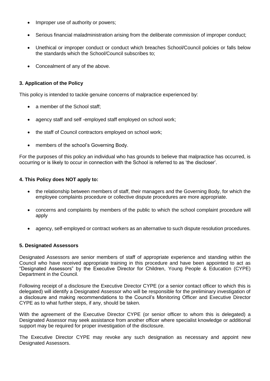- Improper use of authority or powers;
- Serious financial maladministration arising from the deliberate commission of improper conduct;
- Unethical or improper conduct or conduct which breaches School/Council policies or falls below the standards which the School/Council subscribes to;
- Concealment of any of the above.

#### **3. Application of the Policy**

This policy is intended to tackle genuine concerns of malpractice experienced by:

- a member of the School staff;
- agency staff and self -employed staff employed on school work;
- the staff of Council contractors employed on school work;
- members of the school's Governing Body.

For the purposes of this policy an individual who has grounds to believe that malpractice has occurred, is occurring or is likely to occur in connection with the School is referred to as 'the discloser'.

#### **4. This Policy does NOT apply to:**

- the relationship between members of staff, their managers and the Governing Body, for which the employee complaints procedure or collective dispute procedures are more appropriate.
- concerns and complaints by members of the public to which the school complaint procedure will apply
- agency, self-employed or contract workers as an alternative to such dispute resolution procedures.

#### **5. Designated Assessors**

Designated Assessors are senior members of staff of appropriate experience and standing within the Council who have received appropriate training in this procedure and have been appointed to act as "Designated Assessors" by the Executive Director for Children, Young People & Education (CYPE) Department in the Council.

Following receipt of a disclosure the Executive Director CYPE (or a senior contact officer to which this is delegated) will identify a Designated Assessor who will be responsible for the preliminary investigation of a disclosure and making recommendations to the Council's Monitoring Officer and Executive Director CYPE as to what further steps, if any, should be taken.

With the agreement of the Executive Director CYPE (or senior officer to whom this is delegated) a Designated Assessor may seek assistance from another officer where specialist knowledge or additional support may be required for proper investigation of the disclosure.

The Executive Director CYPE may revoke any such designation as necessary and appoint new Designated Assessors.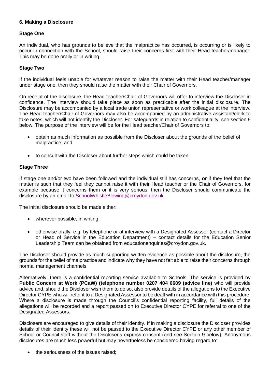#### **6. Making a Disclosure**

#### **Stage One**

An individual, who has grounds to believe that the malpractice has occurred, is occurring or is likely to occur in connection with the School, should raise their concerns first with their Head teacher/manager. This may be done orally or in writing.

#### **Stage Two**

If the individual feels unable for whatever reason to raise the matter with their Head teacher/manager under stage one, then they should raise the matter with their Chair of Governors.

On receipt of the disclosure, the Head teacher/Chair of Governors will offer to interview the Discloser in confidence. The interview should take place as soon as practicable after the initial disclosure. The Disclosure may be accompanied by a local trade union representative or work colleague at the interview. The Head teacher/Chair of Governors may also be accompanied by an administrative assistant/clerk to take notes, which will not identify the Discloser. For safeguards in relation to confidentiality, see section 9 below. The purpose of the interview will be for the Head teacher/Chair of Governors to:

- obtain as much information as possible from the Discloser about the grounds of the belief of malpractice; and
- to consult with the Discloser about further steps which could be taken.

#### **Stage Three**

If stage one and/or two have been followed and the individual still has concerns, **or** if they feel that the matter is such that they feel they cannot raise it with their Head teacher or the Chair of Governors, for example because it concerns them or it is very serious, then the Discloser should communicate the disclosure by an email to [SchoolWhistleBlowing@croydon.gov.uk](mailto:SchoolWhistleBlowing@croydon.gov.uk)

The initial disclosure should be made either:

- wherever possible, in writing;
- otherwise orally, e.g. by telephone or at interview with a Designated Assessor (contact a Director or Head of Service in the Education Department) – contact details for the Education Senior Leadership Team can be obtained from educationenquiries@croydon.gov.uk.

The Discloser should provide as much supporting written evidence as possible about the disclosure, the grounds for the belief of malpractice and indicate why they have not felt able to raise their concerns through normal management channels.

Alternatively, there is a confidential reporting service available to Schools. The service is provided by **Public Concern at Work (PCaW) (telephone number 0207 404 6609 (advice line)** who will provide advice and, should the Discloser wish them to do so, also provide details of the allegations to the Executive Director CYPE who will refer it to a Designated Assessor to be dealt with in accordance with this procedure. Where a disclosure is made through the Council's confidential reporting facility, full details of the allegations will be recorded and a report passed on to Executive Director CYPE for referral to one of the Designated Assessors.

Disclosers are encouraged to give details of their identity. If in making a disclosure the Discloser provides details of their identity these will not be passed to the Executive Director CYPE or any other member of School or Council staff without the Discloser's express consent (and see Section 9 below). Anonymous disclosures are much less powerful but may nevertheless be considered having regard to:

• the seriousness of the issues raised;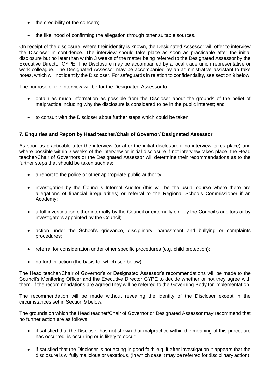- the credibility of the concern;
- the likelihood of confirming the allegation through other suitable sources.

On receipt of the disclosure, where their identity is known, the Designated Assessor will offer to interview the Discloser in confidence. The interview should take place as soon as practicable after the initial disclosure but no later than within 3 weeks of the matter being referred to the Designated Assessor by the Executive Director CYPE. The Disclosure may be accompanied by a local trade union representative or work colleague. The Designated Assessor may be accompanied by an administrative assistant to take notes, which will not identify the Discloser. For safeguards in relation to confidentiality, see section 9 below.

The purpose of the interview will be for the Designated Assessor to:

- obtain as much information as possible from the Discloser about the grounds of the belief of malpractice including why the disclosure is considered to be in the public interest; and
- to consult with the Discloser about further steps which could be taken.

#### **7. Enquiries and Report by Head teacher/Chair of Governor/ Designated Assessor**

As soon as practicable after the interview (or after the initial disclosure if no interview takes place) and where possible within 3 weeks of the interview or initial disclosure if not interview takes place, the Head teacher/Chair of Governors or the Designated Assessor will determine their recommendations as to the further steps that should be taken such as:

- a report to the police or other appropriate public authority;
- investigation by the Council's Internal Auditor (this will be the usual course where there are allegations of financial irregularities) or referral to the Regional Schools Commissioner if an Academy;
- a full investigation either internally by the Council or externally e.g. by the Council's auditors or by investigators appointed by the Council;
- action under the School's grievance, disciplinary, harassment and bullying or complaints procedures;
- referral for consideration under other specific procedures (e.g. child protection);
- no further action (the basis for which see below).

The Head teacher/Chair of Governor's or Designated Assessor's recommendations will be made to the Council's Monitoring Officer and the Executive Director CYPE to decide whether or not they agree with them. If the recommendations are agreed they will be referred to the Governing Body for implementation.

The recommendation will be made without revealing the identity of the Discloser except in the circumstances set in Section 9 below.

The grounds on which the Head teacher/Chair of Governor or Designated Assessor may recommend that no further action are as follows:

- if satisfied that the Discloser has not shown that malpractice within the meaning of this procedure has occurred, is occurring or is likely to occur;
- if satisfied that the Discloser is not acting in good faith e.g. if after investigation it appears that the disclosure is wilfully malicious or vexatious, (in which case it may be referred for disciplinary action);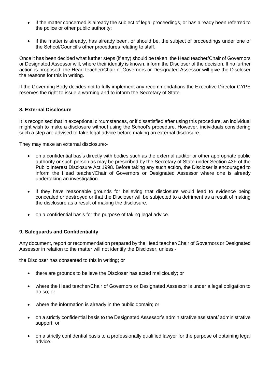- if the matter concerned is already the subject of legal proceedings, or has already been referred to the police or other public authority;
- if the matter is already, has already been, or should be, the subject of proceedings under one of the School/Council's other procedures relating to staff.

Once it has been decided what further steps (if any) should be taken, the Head teacher/Chair of Governors or Designated Assessor will, where their identity is known, inform the Discloser of the decision. If no further action is proposed, the Head teacher/Chair of Governors or Designated Assessor will give the Discloser the reasons for this in writing.

If the Governing Body decides not to fully implement any recommendations the Executive Director CYPE reserves the right to issue a warning and to inform the Secretary of State.

#### **8. External Disclosure**

It is recognised that in exceptional circumstances, or if dissatisfied after using this procedure, an individual might wish to make a disclosure without using the School's procedure. However, individuals considering such a step are advised to take legal advice before making an external disclosure.

They may make an external disclosure:-

- on a confidential basis directly with bodies such as the external auditor or other appropriate public authority or such person as may be prescribed by the Secretary of State under Section 43F of the Public Interest Disclosure Act 1998. Before taking any such action, the Discloser is encouraged to inform the Head teacher/Chair of Governors or Designated Assessor where one is already undertaking an investigation.
- if they have reasonable grounds for believing that disclosure would lead to evidence being concealed or destroyed or that the Discloser will be subjected to a detriment as a result of making the disclosure as a result of making the disclosure.
- on a confidential basis for the purpose of taking legal advice.

#### **9. Safeguards and Confidentiality**

Any document, report or recommendation prepared by the Head teacher/Chair of Governors or Designated Assessor in relation to the matter will not identify the Discloser, unless:-

the Discloser has consented to this in writing; or

- there are grounds to believe the Discloser has acted maliciously; or
- where the Head teacher/Chair of Governors or Designated Assessor is under a legal obligation to do so; or
- where the information is already in the public domain; or
- on a strictly confidential basis to the Designated Assessor's administrative assistant/ administrative support; or
- on a strictly confidential basis to a professionally qualified lawyer for the purpose of obtaining legal advice.